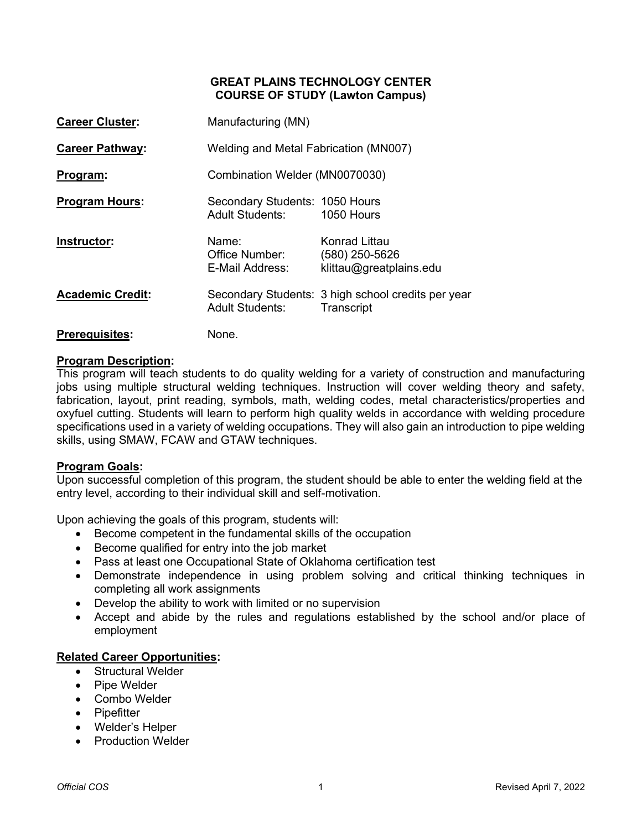## **GREAT PLAINS TECHNOLOGY CENTER COURSE OF STUDY (Lawton Campus)**

| <b>Career Cluster:</b>  | Manufacturing (MN)                                       |                                                                  |  |  |  |
|-------------------------|----------------------------------------------------------|------------------------------------------------------------------|--|--|--|
| <b>Career Pathway:</b>  | Welding and Metal Fabrication (MN007)                    |                                                                  |  |  |  |
| Program:                | Combination Welder (MN0070030)                           |                                                                  |  |  |  |
| <b>Program Hours:</b>   | Secondary Students: 1050 Hours<br><b>Adult Students:</b> | 1050 Hours                                                       |  |  |  |
| Instructor:             | Name:<br>Office Number:<br>E-Mail Address:               | Konrad Littau<br>(580) 250-5626<br>klittau@greatplains.edu       |  |  |  |
| <b>Academic Credit:</b> | <b>Adult Students:</b>                                   | Secondary Students: 3 high school credits per year<br>Transcript |  |  |  |

# **Prerequisites:** None.

## **Program Description:**

This program will teach students to do quality welding for a variety of construction and manufacturing jobs using multiple structural welding techniques. Instruction will cover welding theory and safety, fabrication, layout, print reading, symbols, math, welding codes, metal characteristics/properties and oxyfuel cutting. Students will learn to perform high quality welds in accordance with welding procedure specifications used in a variety of welding occupations. They will also gain an introduction to pipe welding skills, using SMAW, FCAW and GTAW techniques.

### **Program Goals:**

Upon successful completion of this program, the student should be able to enter the welding field at the entry level, according to their individual skill and self-motivation.

Upon achieving the goals of this program, students will:

- Become competent in the fundamental skills of the occupation
- Become qualified for entry into the job market
- Pass at least one Occupational State of Oklahoma certification test
- Demonstrate independence in using problem solving and critical thinking techniques in completing all work assignments
- Develop the ability to work with limited or no supervision
- Accept and abide by the rules and regulations established by the school and/or place of employment

## **Related Career Opportunities:**

- Structural Welder
- Pipe Welder
- Combo Welder
- Pipefitter
- Welder's Helper
- Production Welder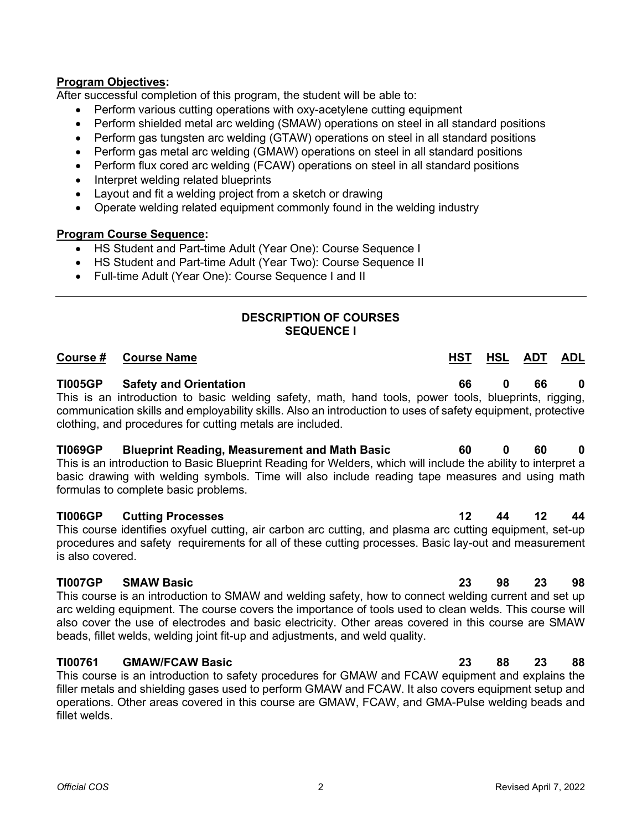## **Program Objectives:**

After successful completion of this program, the student will be able to:

- Perform various cutting operations with oxy-acetylene cutting equipment
- Perform shielded metal arc welding (SMAW) operations on steel in all standard positions
- Perform gas tungsten arc welding (GTAW) operations on steel in all standard positions
- Perform gas metal arc welding (GMAW) operations on steel in all standard positions
- Perform flux cored arc welding (FCAW) operations on steel in all standard positions
- Interpret welding related blueprints
- Layout and fit a welding project from a sketch or drawing
- Operate welding related equipment commonly found in the welding industry

### **Program Course Sequence:**

- HS Student and Part-time Adult (Year One): Course Sequence I
- HS Student and Part-time Adult (Year Two): Course Sequence II
- Full-time Adult (Year One): Course Sequence I and II

## **DESCRIPTION OF COURSES SEQUENCE I**

## **Course # Course Name HST HSL ADT ADL**

## **TI005GP Safety and Orientation 66 0 66 0**

This is an introduction to basic welding safety, math, hand tools, power tools, blueprints, rigging, communication skills and employability skills. Also an introduction to uses of safety equipment, protective clothing, and procedures for cutting metals are included.

## **TI069GP Blueprint Reading, Measurement and Math Basic 60 0 60 0**

This is an introduction to Basic Blueprint Reading for Welders, which will include the ability to interpret a basic drawing with welding symbols. Time will also include reading tape measures and using math formulas to complete basic problems.

### **TI006GP Cutting Processes 12 44 12 44**

This course identifies oxyfuel cutting, air carbon arc cutting, and plasma arc cutting equipment, set-up procedures and safety requirements for all of these cutting processes. Basic lay-out and measurement is also covered.

### **TI007GP SMAW Basic 23 98 23 98**

This course is an introduction to SMAW and welding safety, how to connect welding current and set up arc welding equipment. The course covers the importance of tools used to clean welds. This course will also cover the use of electrodes and basic electricity. Other areas covered in this course are SMAW beads, fillet welds, welding joint fit-up and adjustments, and weld quality.

## **TI00761 GMAW/FCAW Basic 23 88 23 88**

This course is an introduction to safety procedures for GMAW and FCAW equipment and explains the filler metals and shielding gases used to perform GMAW and FCAW. It also covers equipment setup and operations. Other areas covered in this course are GMAW, FCAW, and GMA-Pulse welding beads and fillet welds.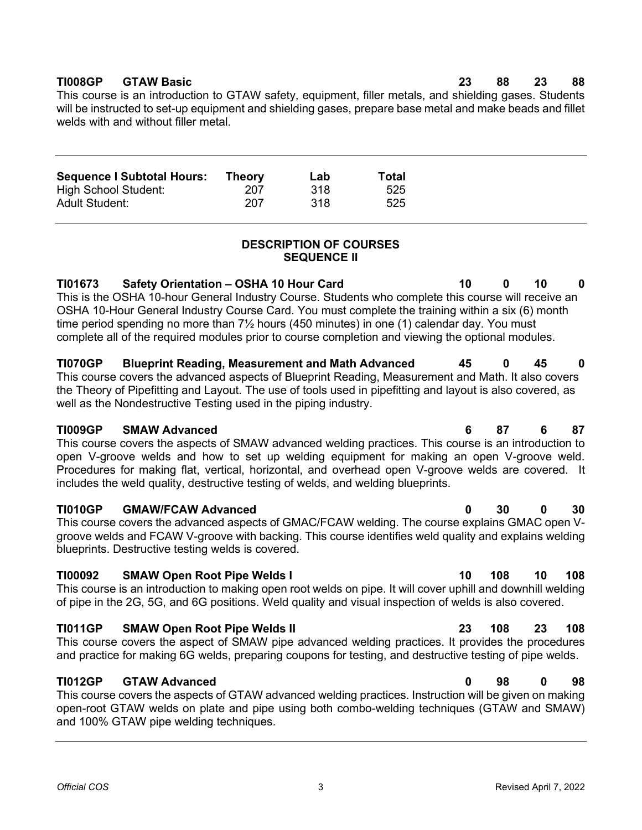## **TI008GP GTAW Basic 23 88 23 88**

This course is an introduction to GTAW safety, equipment, filler metals, and shielding gases. Students will be instructed to set-up equipment and shielding gases, prepare base metal and make beads and fillet welds with and without filler metal.

| <b>Sequence I Subtotal Hours:</b> | <b>Theory</b> | Lab  | Total |
|-----------------------------------|---------------|------|-------|
| High School Student:              | 207           | .318 | 525   |
| <b>Adult Student:</b>             | 207           | .318 | 525   |

## **DESCRIPTION OF COURSES SEQUENCE II**

**TI01673 Safety Orientation – OSHA 10 Hour Card 10 0 10 0**  This is the OSHA 10-hour General Industry Course. Students who complete this course will receive an OSHA 10-Hour General Industry Course Card. You must complete the training within a six (6) month time period spending no more than 7½ hours (450 minutes) in one (1) calendar day. You must complete all of the required modules prior to course completion and viewing the optional modules.

**TI070GP Blueprint Reading, Measurement and Math Advanced 45 0 45 0**  This course covers the advanced aspects of Blueprint Reading, Measurement and Math. It also covers the Theory of Pipefitting and Layout. The use of tools used in pipefitting and layout is also covered, as well as the Nondestructive Testing used in the piping industry.

## **TI009GP SMAW Advanced 6 87 6 87**

This course covers the aspects of SMAW advanced welding practices. This course is an introduction to open V-groove welds and how to set up welding equipment for making an open V-groove weld. Procedures for making flat, vertical, horizontal, and overhead open V-groove welds are covered. It includes the weld quality, destructive testing of welds, and welding blueprints.

## **TI010GP GMAW/FCAW Advanced 0 30 0 30**

This course covers the advanced aspects of GMAC/FCAW welding. The course explains GMAC open Vgroove welds and FCAW V-groove with backing. This course identifies weld quality and explains welding blueprints. Destructive testing welds is covered.

## **TI00092 SMAW Open Root Pipe Welds I 10 108 10 108**

This course is an introduction to making open root welds on pipe. It will cover uphill and downhill welding of pipe in the 2G, 5G, and 6G positions. Weld quality and visual inspection of welds is also covered.

## **TI011GP SMAW Open Root Pipe Welds II 23 108 23 108**

This course covers the aspect of SMAW pipe advanced welding practices. It provides the procedures and practice for making 6G welds, preparing coupons for testing, and destructive testing of pipe welds.

## **TI012GP GTAW Advanced 0 98 0 98**

This course covers the aspects of GTAW advanced welding practices. Instruction will be given on making open-root GTAW welds on plate and pipe using both combo-welding techniques (GTAW and SMAW) and 100% GTAW pipe welding techniques.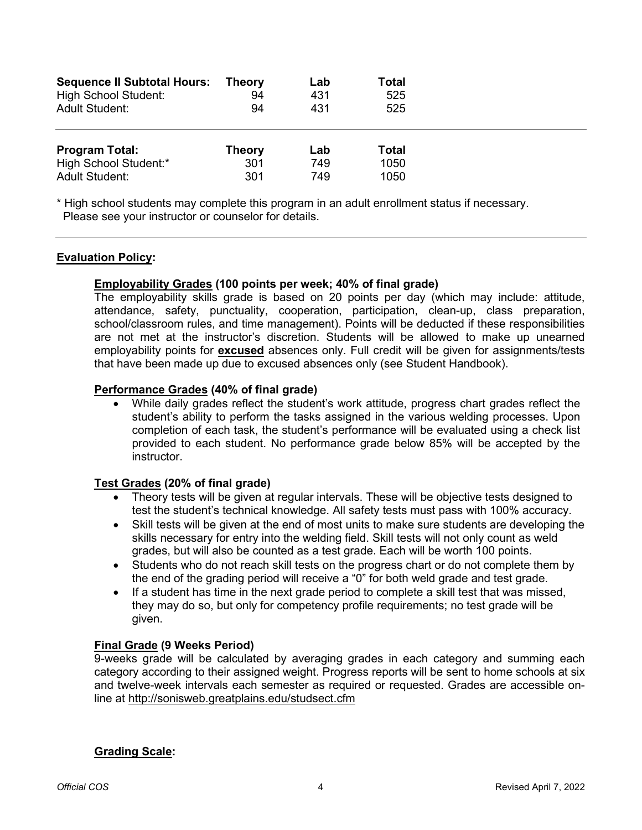| <b>Sequence II Subtotal Hours:</b><br><b>High School Student:</b><br><b>Adult Student:</b> | <b>Theory</b><br>94<br>94   | Lab<br>431<br>431 | Total<br>525<br>525   |  |
|--------------------------------------------------------------------------------------------|-----------------------------|-------------------|-----------------------|--|
| <b>Program Total:</b><br>High School Student:*<br><b>Adult Student:</b>                    | <b>Theory</b><br>301<br>301 | Lab<br>749<br>749 | Total<br>1050<br>1050 |  |

\* High school students may complete this program in an adult enrollment status if necessary. Please see your instructor or counselor for details.

## **Evaluation Policy:**

### **Employability Grades (100 points per week; 40% of final grade)**

The employability skills grade is based on 20 points per day (which may include: attitude, attendance, safety, punctuality, cooperation, participation, clean-up, class preparation, school/classroom rules, and time management). Points will be deducted if these responsibilities are not met at the instructor's discretion. Students will be allowed to make up unearned employability points for **excused** absences only. Full credit will be given for assignments/tests that have been made up due to excused absences only (see Student Handbook).

### **Performance Grades (40% of final grade)**

• While daily grades reflect the student's work attitude, progress chart grades reflect the student's ability to perform the tasks assigned in the various welding processes. Upon completion of each task, the student's performance will be evaluated using a check list provided to each student. No performance grade below 85% will be accepted by the instructor.

### **Test Grades (20% of final grade)**

- Theory tests will be given at regular intervals. These will be objective tests designed to test the student's technical knowledge. All safety tests must pass with 100% accuracy.
- Skill tests will be given at the end of most units to make sure students are developing the skills necessary for entry into the welding field. Skill tests will not only count as weld grades, but will also be counted as a test grade. Each will be worth 100 points.
- Students who do not reach skill tests on the progress chart or do not complete them by the end of the grading period will receive a "0" for both weld grade and test grade.
- If a student has time in the next grade period to complete a skill test that was missed, they may do so, but only for competency profile requirements; no test grade will be given.

### **Final Grade (9 Weeks Period)**

9-weeks grade will be calculated by averaging grades in each category and summing each category according to their assigned weight. Progress reports will be sent to home schools at six and twelve-week intervals each semester as required or requested. Grades are accessible online at<http://sonisweb.greatplains.edu/studsect.cfm>

### **Grading Scale:**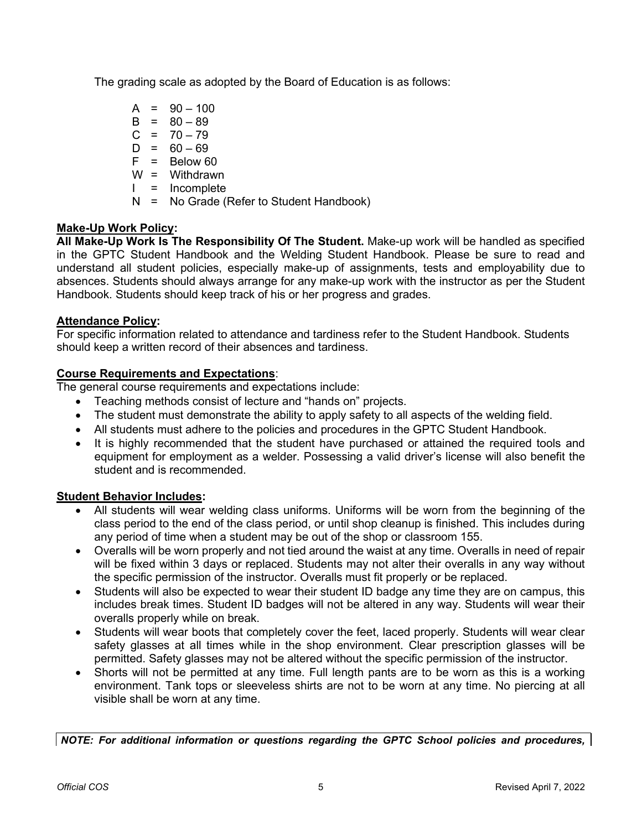The grading scale as adopted by the Board of Education is as follows:

 $A = 90 - 100$  $B = 80 - 89$  $C = 70 - 79$  $D = 60 - 69$  $F = Below 60$ W = Withdrawn I = Incomplete N = No Grade (Refer to Student Handbook)

## **Make-Up Work Policy:**

**All Make-Up Work Is The Responsibility Of The Student.** Make-up work will be handled as specified in the GPTC Student Handbook and the Welding Student Handbook. Please be sure to read and understand all student policies, especially make-up of assignments, tests and employability due to absences. Students should always arrange for any make-up work with the instructor as per the Student Handbook. Students should keep track of his or her progress and grades.

## **Attendance Policy:**

For specific information related to attendance and tardiness refer to the Student Handbook. Students should keep a written record of their absences and tardiness.

## **Course Requirements and Expectations**:

The general course requirements and expectations include:

- Teaching methods consist of lecture and "hands on" projects.
- The student must demonstrate the ability to apply safety to all aspects of the welding field.
- All students must adhere to the policies and procedures in the GPTC Student Handbook.
- It is highly recommended that the student have purchased or attained the required tools and equipment for employment as a welder. Possessing a valid driver's license will also benefit the student and is recommended.

## **Student Behavior Includes:**

- All students will wear welding class uniforms. Uniforms will be worn from the beginning of the class period to the end of the class period, or until shop cleanup is finished. This includes during any period of time when a student may be out of the shop or classroom 155.
- Overalls will be worn properly and not tied around the waist at any time. Overalls in need of repair will be fixed within 3 days or replaced. Students may not alter their overalls in any way without the specific permission of the instructor. Overalls must fit properly or be replaced.
- Students will also be expected to wear their student ID badge any time they are on campus, this includes break times. Student ID badges will not be altered in any way. Students will wear their overalls properly while on break.
- Students will wear boots that completely cover the feet, laced properly. Students will wear clear safety glasses at all times while in the shop environment. Clear prescription glasses will be permitted. Safety glasses may not be altered without the specific permission of the instructor.
- Shorts will not be permitted at any time. Full length pants are to be worn as this is a working environment. Tank tops or sleeveless shirts are not to be worn at any time. No piercing at all visible shall be worn at any time.

*NOTE: For additional information or questions regarding the GPTC School policies and procedures,*